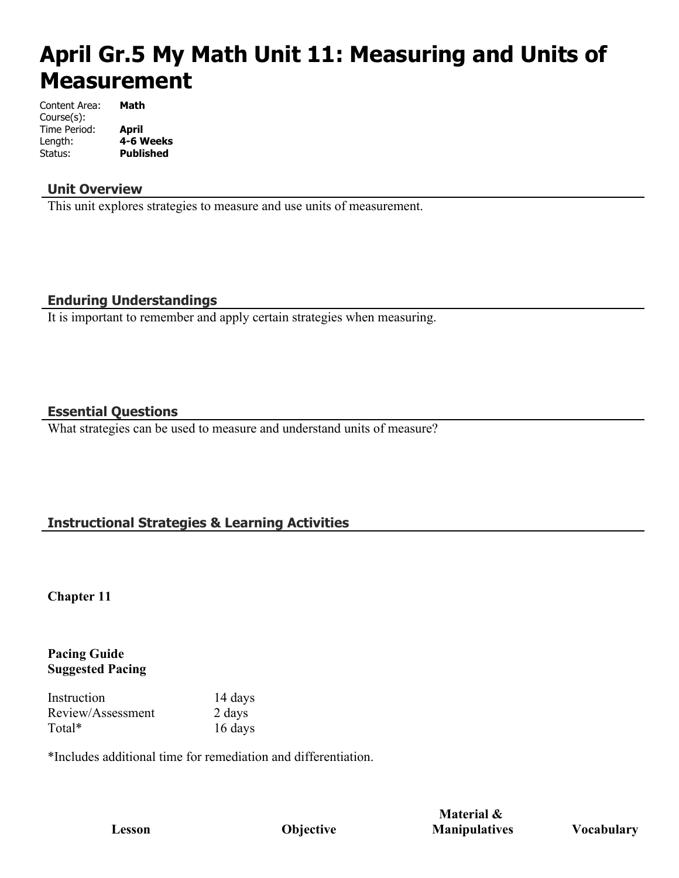# **April Gr.5 My Math Unit 11: Measuring and Units of Measurement**

Content Area: **Math** Course(s): Time Period: **April** Length: **4-6 Weeks Published** 

#### **Unit Overview**

This unit explores strategies to measure and use units of measurement.

#### **Enduring Understandings**

It is important to remember and apply certain strategies when measuring.

#### **Essential Questions**

What strategies can be used to measure and understand units of measure?

# **Instructional Strategies & Learning Activities**

**Chapter 11**

#### **Pacing Guide Suggested Pacing**

Instruction 14 days Review/Assessment 2 days Total\* 16 days

\*Includes additional time for remediation and differentiation.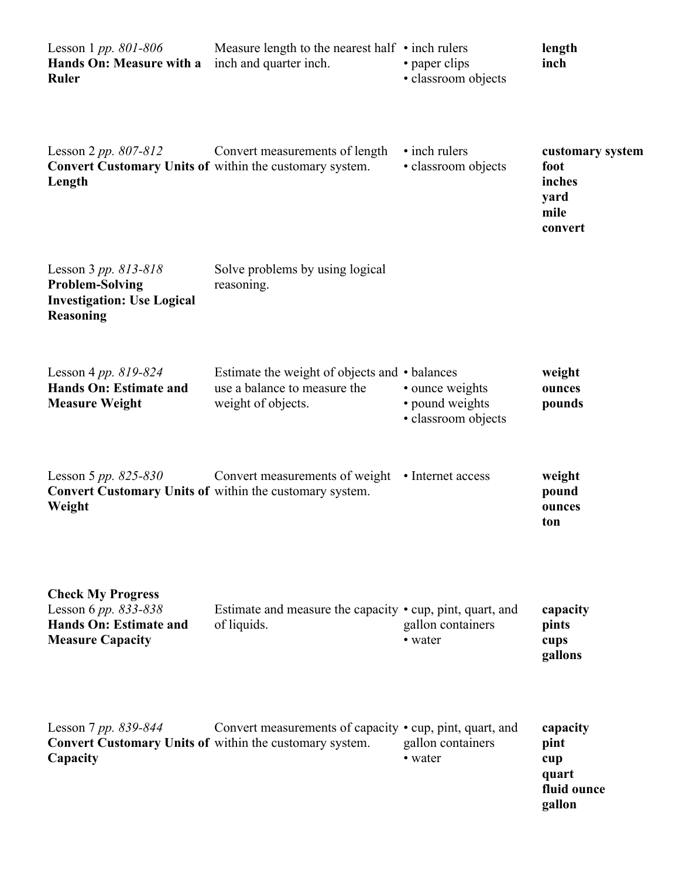| Lesson 1 <i>pp.</i> 801-806<br>Hands On: Measure with a<br><b>Ruler</b>                                      | Measure length to the nearest half $\cdot$ inch rulers<br>inch and quarter inch.                    | • paper clips<br>· classroom objects                      | length<br>inch                                                |
|--------------------------------------------------------------------------------------------------------------|-----------------------------------------------------------------------------------------------------|-----------------------------------------------------------|---------------------------------------------------------------|
| Lesson 2 pp. 807-812<br><b>Convert Customary Units of within the customary system.</b><br>Length             | Convert measurements of length                                                                      | • inch rulers<br>· classroom objects                      | customary system<br>foot<br>inches<br>yard<br>mile<br>convert |
| Lesson 3 pp. $813 - 818$<br><b>Problem-Solving</b><br><b>Investigation: Use Logical</b><br><b>Reasoning</b>  | Solve problems by using logical<br>reasoning.                                                       |                                                           |                                                               |
| Lesson 4 pp. $819 - 824$<br><b>Hands On: Estimate and</b><br><b>Measure Weight</b>                           | Estimate the weight of objects and • balances<br>use a balance to measure the<br>weight of objects. | • ounce weights<br>• pound weights<br>· classroom objects | weight<br>ounces<br>pounds                                    |
| Lesson 5 <i>pp.</i> 825-830<br>Convert Customary Units of within the customary system.<br>Weight             | Convert measurements of weight • Internet access                                                    |                                                           | weight<br>pound<br>ounces<br>ton                              |
| <b>Check My Progress</b><br>Lesson 6 pp. 833-838<br><b>Hands On: Estimate and</b><br><b>Measure Capacity</b> | Estimate and measure the capacity • cup, pint, quart, and<br>of liquids.                            | gallon containers<br>• water                              | capacity<br>pints<br>cups<br>gallons                          |
| Lesson 7 pp. 839-844<br><b>Convert Customary Units of within the customary system.</b><br>Capacity           | Convert measurements of capacity • cup, pint, quart, and                                            | gallon containers<br>• water                              | capacity<br>pint<br>cup<br>quart<br>fluid ounce<br>gallon     |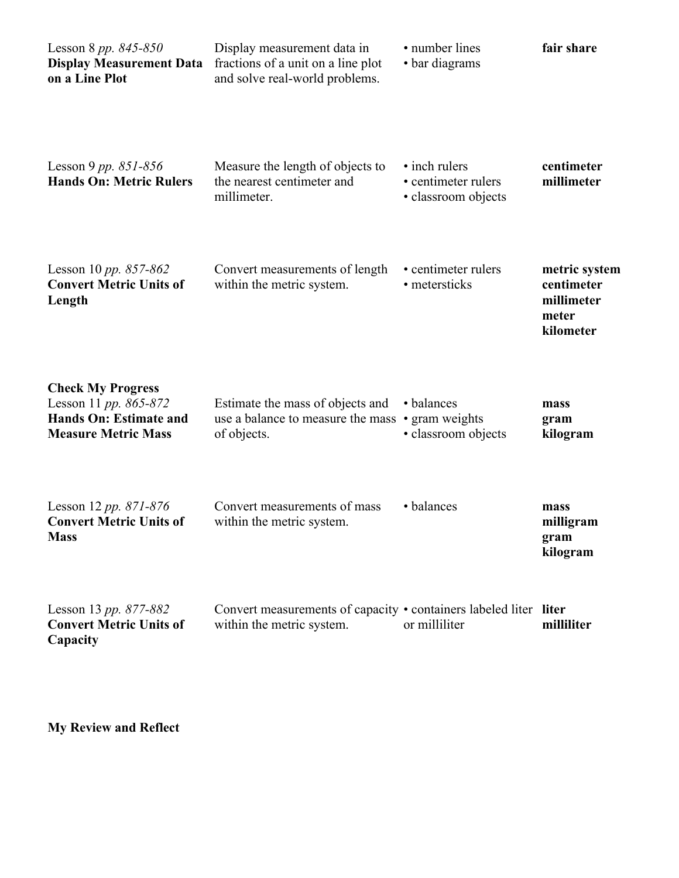| Lesson 8 pp. $845 - 850$<br><b>Display Measurement Data</b><br>on a Line Plot                                    | Display measurement data in<br>fractions of a unit on a line plot<br>and solve real-world problems. | • number lines<br>• bar diagrams                            | fair share                                                      |
|------------------------------------------------------------------------------------------------------------------|-----------------------------------------------------------------------------------------------------|-------------------------------------------------------------|-----------------------------------------------------------------|
| Lesson 9 pp. $851 - 856$<br><b>Hands On: Metric Rulers</b>                                                       | Measure the length of objects to<br>the nearest centimeter and<br>millimeter.                       | • inch rulers<br>• centimeter rulers<br>· classroom objects | centimeter<br>millimeter                                        |
| Lesson 10 pp. $857 - 862$<br><b>Convert Metric Units of</b><br>Length                                            | Convert measurements of length<br>within the metric system.                                         | • centimeter rulers<br>• metersticks                        | metric system<br>centimeter<br>millimeter<br>meter<br>kilometer |
| <b>Check My Progress</b><br>Lesson 11 pp. 865-872<br><b>Hands On: Estimate and</b><br><b>Measure Metric Mass</b> | Estimate the mass of objects and<br>use a balance to measure the mass<br>of objects.                | • balances<br>• gram weights<br>· classroom objects         | mass<br>gram<br>kilogram                                        |
| Lesson 12 pp. $871 - 876$<br><b>Convert Metric Units of</b><br><b>Mass</b>                                       | Convert measurements of mass<br>within the metric system.                                           | • balances                                                  | mass<br>milligram<br>gram<br>kilogram                           |
| Lesson 13 pp. 877-882<br><b>Convert Metric Units of</b><br>Capacity                                              | Convert measurements of capacity • containers labeled liter liter<br>within the metric system.      | or milliliter                                               | milliliter                                                      |

**My Review and Reflect**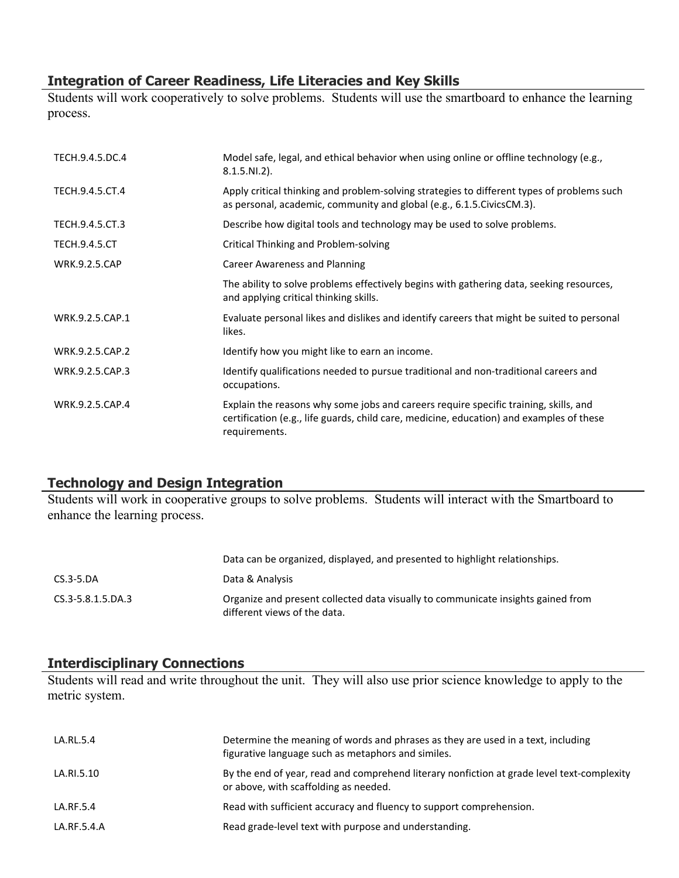## **Integration of Career Readiness, Life Literacies and Key Skills**

Students will work cooperatively to solve problems. Students will use the smartboard to enhance the learning process.

| TECH.9.4.5.DC.4      | Model safe, legal, and ethical behavior when using online or offline technology (e.g.,<br>$8.1.5.NI.2$ ).                                                                                         |
|----------------------|---------------------------------------------------------------------------------------------------------------------------------------------------------------------------------------------------|
| TECH.9.4.5.CT.4      | Apply critical thinking and problem-solving strategies to different types of problems such<br>as personal, academic, community and global (e.g., 6.1.5. Civics CM.3).                             |
| TECH.9.4.5.CT.3      | Describe how digital tools and technology may be used to solve problems.                                                                                                                          |
| <b>TECH.9.4.5.CT</b> | Critical Thinking and Problem-solving                                                                                                                                                             |
| <b>WRK.9.2.5.CAP</b> | <b>Career Awareness and Planning</b>                                                                                                                                                              |
|                      | The ability to solve problems effectively begins with gathering data, seeking resources,<br>and applying critical thinking skills.                                                                |
| WRK.9.2.5.CAP.1      | Evaluate personal likes and dislikes and identify careers that might be suited to personal<br>likes.                                                                                              |
| WRK.9.2.5.CAP.2      | Identify how you might like to earn an income.                                                                                                                                                    |
| WRK.9.2.5.CAP.3      | Identify qualifications needed to pursue traditional and non-traditional careers and<br>occupations.                                                                                              |
| WRK.9.2.5.CAP.4      | Explain the reasons why some jobs and careers require specific training, skills, and<br>certification (e.g., life guards, child care, medicine, education) and examples of these<br>requirements. |

## **Technology and Design Integration**

Students will work in cooperative groups to solve problems. Students will interact with the Smartboard to enhance the learning process.

|                   | Data can be organized, displayed, and presented to highlight relationships.                                      |
|-------------------|------------------------------------------------------------------------------------------------------------------|
| $CS.3 - 5.DA$     | Data & Analysis                                                                                                  |
| CS.3-5.8.1.5.DA.3 | Organize and present collected data visually to communicate insights gained from<br>different views of the data. |

#### **Interdisciplinary Connections**

Students will read and write throughout the unit. They will also use prior science knowledge to apply to the metric system.

| LA.RL.5.4   | Determine the meaning of words and phrases as they are used in a text, including<br>figurative language such as metaphors and similes. |
|-------------|----------------------------------------------------------------------------------------------------------------------------------------|
| LA.RI.5.10  | By the end of year, read and comprehend literary nonfiction at grade level text-complexity<br>or above, with scaffolding as needed.    |
| LA.RF.5.4   | Read with sufficient accuracy and fluency to support comprehension.                                                                    |
| LA.RF.5.4.A | Read grade-level text with purpose and understanding.                                                                                  |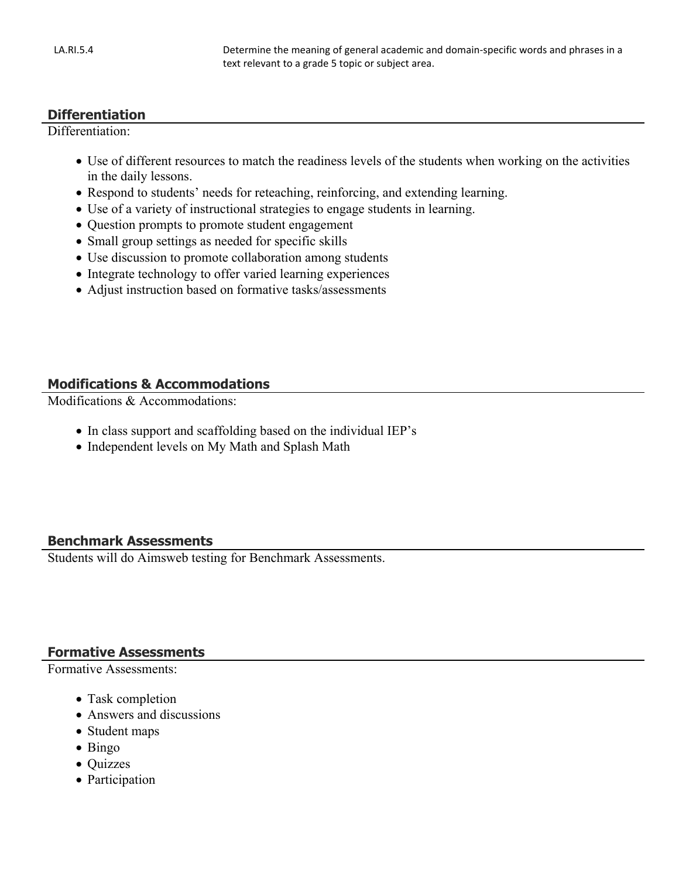#### **Differentiation**

Differentiation<sup>.</sup>

- Use of different resources to match the readiness levels of the students when working on the activities in the daily lessons.
- Respond to students' needs for reteaching, reinforcing, and extending learning.
- Use of a variety of instructional strategies to engage students in learning.
- Question prompts to promote student engagement
- Small group settings as needed for specific skills
- Use discussion to promote collaboration among students
- Integrate technology to offer varied learning experiences
- Adjust instruction based on formative tasks/assessments

# **Modifications & Accommodations**

Modifications & Accommodations:

- In class support and scaffolding based on the individual IEP's
- Independent levels on My Math and Splash Math

## **Benchmark Assessments**

Students will do Aimsweb testing for Benchmark Assessments.

#### **Formative Assessments**

Formative Assessments:

- Task completion
- Answers and discussions
- Student maps
- Bingo
- Quizzes
- Participation